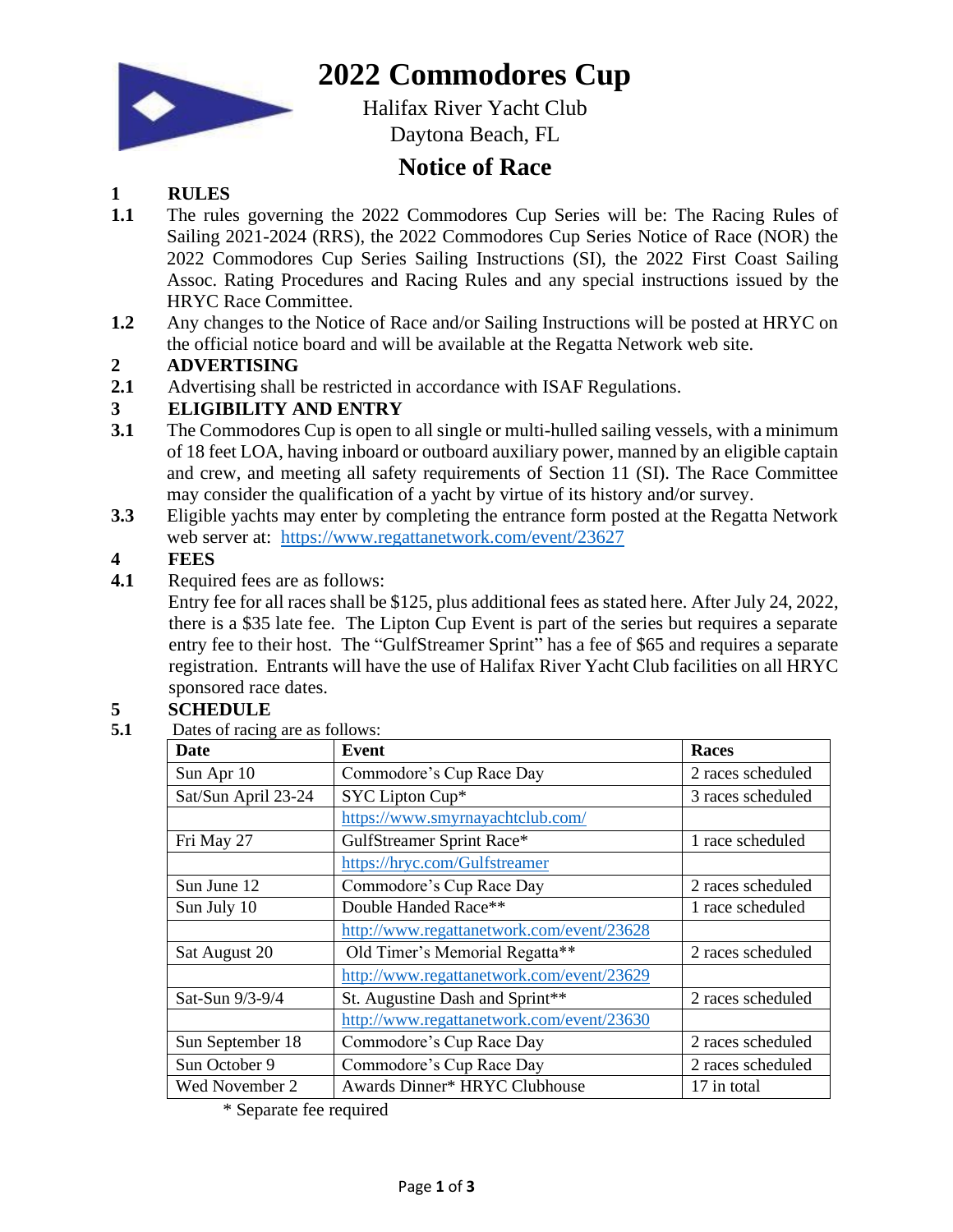

## **2022 Commodores Cup**

Halifax River Yacht Club Daytona Beach, FL

### **Notice of Race**

#### **1 RULES**

- **1.1** The rules governing the 2022 Commodores Cup Series will be: The Racing Rules of Sailing 2021-2024 (RRS), the 2022 Commodores Cup Series Notice of Race (NOR) the 2022 Commodores Cup Series Sailing Instructions (SI), the 2022 First Coast Sailing Assoc. Rating Procedures and Racing Rules and any special instructions issued by the HRYC Race Committee.
- **1.2** Any changes to the Notice of Race and/or Sailing Instructions will be posted at HRYC on the official notice board and will be available at the Regatta Network web site.

#### **2 ADVERTISING**

**2.1** Advertising shall be restricted in accordance with ISAF Regulations.

#### **3 ELIGIBILITY AND ENTRY**

- **3.1** The Commodores Cup is open to all single or multi-hulled sailing vessels, with a minimum of 18 feet LOA, having inboard or outboard auxiliary power, manned by an eligible captain and crew, and meeting all safety requirements of Section 11 (SI). The Race Committee may consider the qualification of a yacht by virtue of its history and/or survey.
- **3.3** Eligible yachts may enter by completing the entrance form posted at the Regatta Network web server at[:](https://www.regattanetwork.com/event/22014) <https://www.regattanetwork.com/event/23627>

#### **4 FEES**

**4.1** Required fees are as follows:

Entry fee for all races shall be \$125, plus additional fees as stated here. After July 24, 2022, there is a \$35 late fee. The Lipton Cup Event is part of the series but requires a separate entry fee to their host. The "GulfStreamer Sprint" has a fee of \$65 and requires a separate registration. Entrants will have the use of Halifax River Yacht Club facilities on all HRYC sponsored race dates.

# **5 SCHEDULE**<br>**5.1** Dates of racing

Dates of racing are as follows:

| Date                | <b>Event</b>                              | <b>Races</b>      |
|---------------------|-------------------------------------------|-------------------|
| Sun Apr 10          | Commodore's Cup Race Day                  | 2 races scheduled |
| Sat/Sun April 23-24 | SYC Lipton Cup*                           | 3 races scheduled |
|                     | https://www.smyrnayachtclub.com/          |                   |
| Fri May 27          | GulfStreamer Sprint Race*                 | 1 race scheduled  |
|                     | https://hryc.com/Gulfstreamer             |                   |
| Sun June 12         | Commodore's Cup Race Day                  | 2 races scheduled |
| Sun July 10         | Double Handed Race**                      | 1 race scheduled  |
|                     | http://www.regattanetwork.com/event/23628 |                   |
| Sat August 20       | Old Timer's Memorial Regatta**            | 2 races scheduled |
|                     | http://www.regattanetwork.com/event/23629 |                   |
| Sat-Sun 9/3-9/4     | St. Augustine Dash and Sprint**           | 2 races scheduled |
|                     | http://www.regattanetwork.com/event/23630 |                   |
| Sun September 18    | Commodore's Cup Race Day                  | 2 races scheduled |
| Sun October 9       | Commodore's Cup Race Day                  | 2 races scheduled |
| Wed November 2      | Awards Dinner* HRYC Clubhouse             | 17 in total       |

\* Separate fee required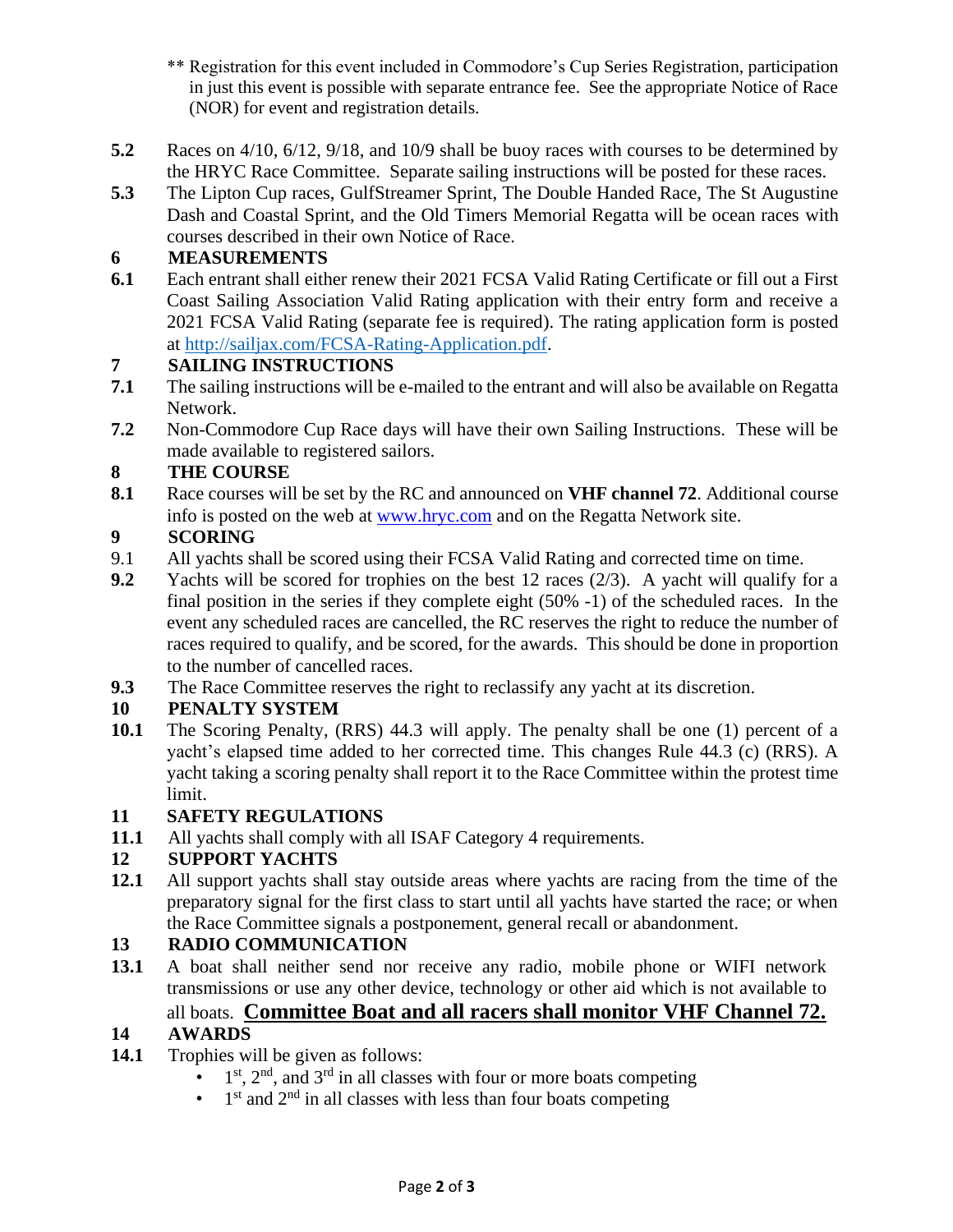- \*\* Registration for this event included in Commodore's Cup Series Registration, participation in just this event is possible with separate entrance fee. See the appropriate Notice of Race (NOR) for event and registration details.
- **5.2** Races on 4/10, 6/12, 9/18, and 10/9 shall be buoy races with courses to be determined by the HRYC Race Committee. Separate sailing instructions will be posted for these races.
- **5.3** The Lipton Cup races, GulfStreamer Sprint, The Double Handed Race, The St Augustine Dash and Coastal Sprint, and the Old Timers Memorial Regatta will be ocean races with courses described in their own Notice of Race.

#### **6 MEASUREMENTS**

**6.1** Each entrant shall either renew their 2021 FCSA Valid Rating Certificate or fill out a First Coast Sailing Association Valid Rating application with their entry form and receive a 2021 FCSA Valid Rating (separate fee is required). The rating application form is posted at [http://sailjax.com/FCSA-Rating-Application.pdf.](http://sailjax.com/FCSA-Rating-Application.pdf) 

#### **7 SAILING INSTRUCTIONS**

- **7.1** The sailing instructions will be e-mailed to the entrant and will also be available on Regatta Network.
- **7.2** Non-Commodore Cup Race days will have their own Sailing Instructions. These will be made available to registered sailors.

#### **8 THE COURSE**

**8.1** Race courses will be set by the RC and announced on **VHF channel 72**. Additional course info is posted on the web at [www.hryc.com](http://www.hryc.com/) and on the Regatta Network site.

#### **9 SCORING**

- 9.1 All yachts shall be scored using their FCSA Valid Rating and corrected time on time.
- **9.2** Yachts will be scored for trophies on the best 12 races (2/3). A yacht will qualify for a final position in the series if they complete eight (50% -1) of the scheduled races. In the event any scheduled races are cancelled, the RC reserves the right to reduce the number of races required to qualify, and be scored, for the awards. This should be done in proportion to the number of cancelled races.
- **9.3** The Race Committee reserves the right to reclassify any yacht at its discretion.

#### **10 PENALTY SYSTEM**

**10.1** The Scoring Penalty, (RRS) 44.3 will apply. The penalty shall be one (1) percent of a yacht's elapsed time added to her corrected time. This changes Rule 44.3 (c) (RRS). A yacht taking a scoring penalty shall report it to the Race Committee within the protest time limit.

#### **11 SAFETY REGULATIONS**

**11.1** All yachts shall comply with all ISAF Category 4 requirements.

#### **12 SUPPORT YACHTS**

**12.1** All support yachts shall stay outside areas where yachts are racing from the time of the preparatory signal for the first class to start until all yachts have started the race; or when the Race Committee signals a postponement, general recall or abandonment.

#### **13 RADIO COMMUNICATION**

**13.1** A boat shall neither send nor receive any radio, mobile phone or WIFI network transmissions or use any other device, technology or other aid which is not available to all boats. **Committee Boat and all racers shall monitor VHF Channel 72.**

#### **14 AWARDS**

- **14.1** Trophies will be given as follows:
	- 1  $1<sup>st</sup>$ ,  $2<sup>nd</sup>$ , and  $3<sup>rd</sup>$  in all classes with four or more boats competing
	- $\bullet$  1<sup>st</sup> and 2<sup>nd</sup> in all classes with less than four boats competing